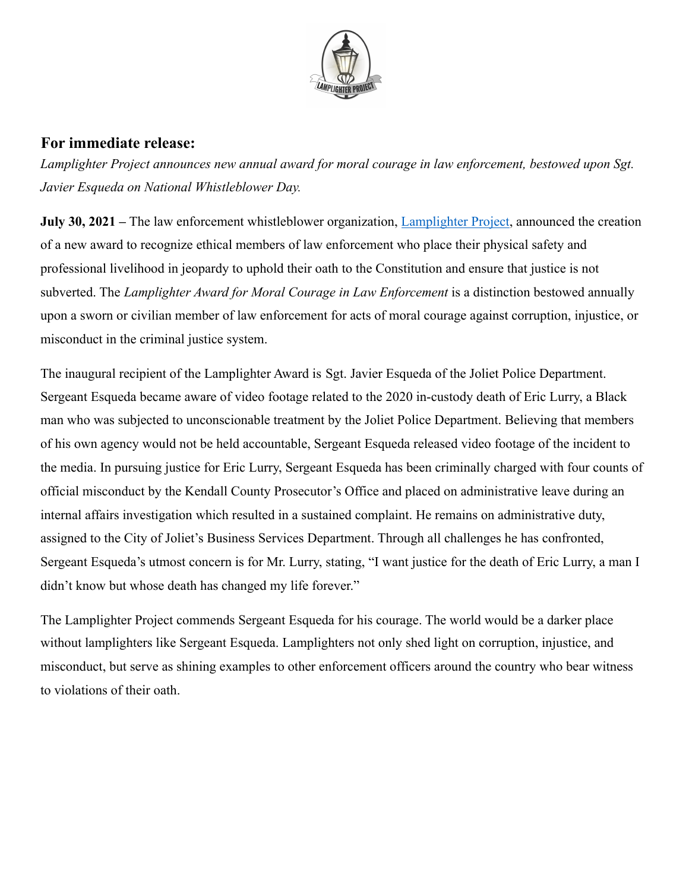

## **For immediate release:**

*Lamplighter Project announces new annual award for moral courage in law enforcement, bestowed upon Sgt. Javier Esqueda on National Whistleblower Day.*

**July 30, 2021** – The law enforcement whistleblower organization, **Lamplighter Project**, announced the creation of a new award to recognize ethical members of law enforcement who place their physical safety and professional livelihood in jeopardy to uphold their oath to the Constitution and ensure that justice is not subverted. The *Lamplighter Award for Moral Courage in Law Enforcement* is a distinction bestowed annually upon a sworn or civilian member of law enforcement for acts of moral courage against corruption, injustice, or misconduct in the criminal justice system.

The inaugural recipient of the Lamplighter Award is Sgt. Javier Esqueda of the Joliet Police Department. Sergeant Esqueda became aware of video footage related to the 2020 in-custody death of Eric Lurry, a Black man who was subjected to unconscionable treatment by the Joliet Police Department. Believing that members of his own agency would not be held accountable, Sergeant Esqueda released video footage of the incident to the media. In pursuing justice for Eric Lurry, Sergeant Esqueda has been criminally charged with four counts of official misconduct by the Kendall County Prosecutor's Office and placed on administrative leave during an internal affairs investigation which resulted in a sustained complaint. He remains on administrative duty, assigned to the City of Joliet's Business Services Department. Through all challenges he has confronted, Sergeant Esqueda's utmost concern is for Mr. Lurry, stating, "I want justice for the death of Eric Lurry, a man I didn't know but whose death has changed my life forever."

The Lamplighter Project commends Sergeant Esqueda for his courage. The world would be a darker place without lamplighters like Sergeant Esqueda. Lamplighters not only shed light on corruption, injustice, and misconduct, but serve as shining examples to other enforcement officers around the country who bear witness to violations of their oath.